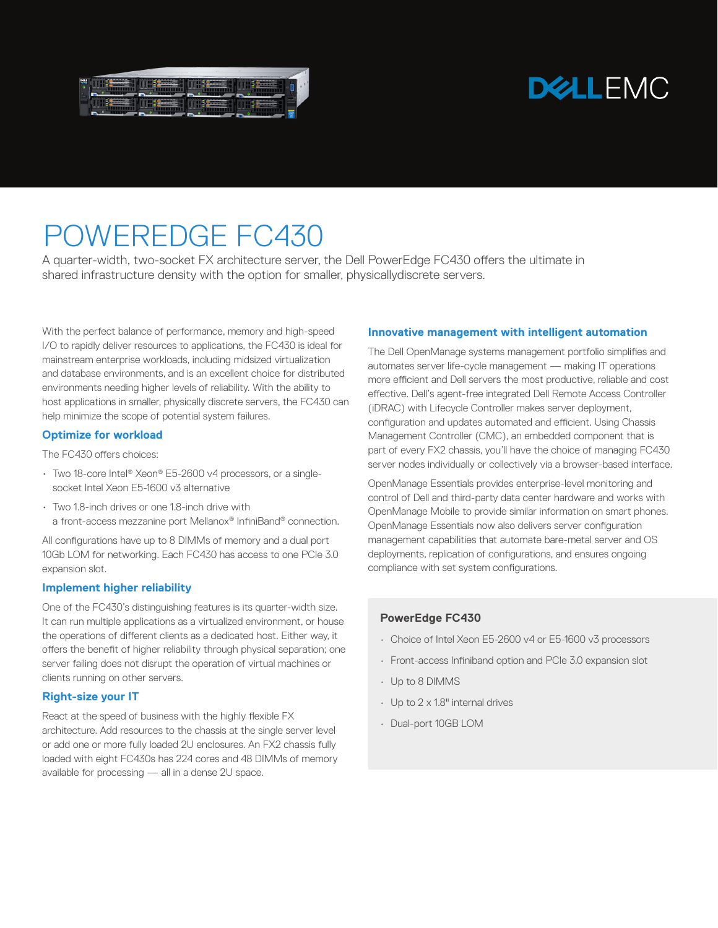| 73     |   |
|--------|---|
|        |   |
| g      |   |
| $\sim$ |   |
|        |   |
|        | ٠ |

# **DELLEMC**

# POWEREDGE FC430

A quarter-width, two-socket FX architecture server, the Dell PowerEdge FC430 offers the ultimate in shared infrastructure density with the option for smaller, physicallydiscrete servers.

With the perfect balance of performance, memory and high-speed I/O to rapidly deliver resources to applications, the FC430 is ideal for mainstream enterprise workloads, including midsized virtualization and database environments, and is an excellent choice for distributed environments needing higher levels of reliability. With the ability to host applications in smaller, physically discrete servers, the FC430 can help minimize the scope of potential system failures.

#### **Optimize for workload**

The FC430 offers choices:

- Two 18-core Intel® Xeon® E5-2600 v4 processors, or a singlesocket Intel Xeon E5-1600 v3 alternative
- Two 1.8-inch drives or one 1.8-inch drive with a front-access mezzanine port Mellanox® InfiniBand® connection.

All configurations have up to 8 DIMMs of memory and a dual port 10Gb LOM for networking. Each FC430 has access to one PCIe 3.0 expansion slot.

#### **Implement higher reliability**

One of the FC430's distinguishing features is its quarter-width size. It can run multiple applications as a virtualized environment, or house the operations of different clients as a dedicated host. Either way, it offers the benefit of higher reliability through physical separation; one server failing does not disrupt the operation of virtual machines or clients running on other servers.

## **Right-size your IT**

React at the speed of business with the highly flexible FX architecture. Add resources to the chassis at the single server level or add one or more fully loaded 2U enclosures. An FX2 chassis fully loaded with eight FC430s has 224 cores and 48 DIMMs of memory available for processing — all in a dense 2U space.

#### **Innovative management with intelligent automation**

The Dell OpenManage systems management portfolio simplifies and automates server life-cycle management — making IT operations more efficient and Dell servers the most productive, reliable and cost effective. Dell's agent-free integrated Dell Remote Access Controller (iDRAC) with Lifecycle Controller makes server deployment, configuration and updates automated and efficient. Using Chassis Management Controller (CMC), an embedded component that is part of every FX2 chassis, you'll have the choice of managing FC430 server nodes individually or collectively via a browser-based interface.

OpenManage Essentials provides enterprise-level monitoring and control of Dell and third-party data center hardware and works with OpenManage Mobile to provide similar information on smart phones. OpenManage Essentials now also delivers server configuration management capabilities that automate bare-metal server and OS deployments, replication of configurations, and ensures ongoing compliance with set system configurations.

### **PowerEdge FC430**

- Choice of Intel Xeon E5-2600 v4 or E5-1600 v3 processors
- Front-access Infiniband option and PCIe 3.0 expansion slot
- Up to 8 DIMMS
- Up to 2 x 1.8" internal drives
- Dual-port 10GB LOM